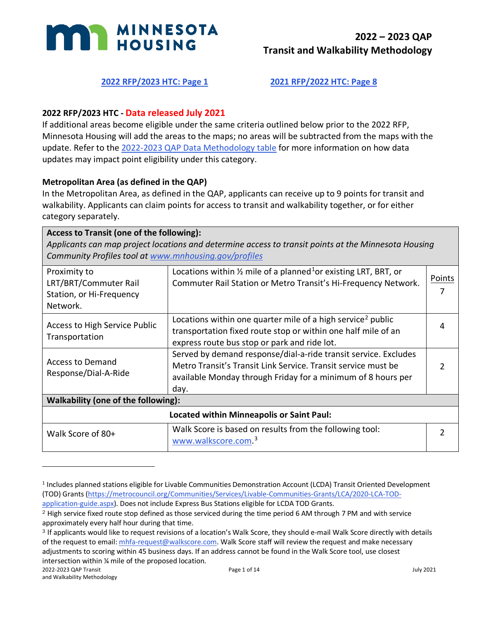

# **[2022 RFP/2023 HTC: Page 1](#page-0-0) [2021 RFP/2022 HTC: Page 8](#page-7-0)**

## <span id="page-0-0"></span>**2022 RFP/2023 HTC - Data released July 2021**

If additional areas become eligible under the same criteria outlined below prior to the 2022 RFP, Minnesota Housing will add the areas to the maps; no areas will be subtracted from the maps with the update. Refer to the [2022-2023 QAP Data Methodology table](https://www.mnhousing.gov/get/MHFA_238743) for more information on how data updates may impact point eligibility under this category.

#### **Metropolitan Area (as defined in the QAP)**

In the Metropolitan Area, as defined in the QAP, applicants can receive up to 9 points for transit and walkability. Applicants can claim points for access to transit and walkability together, or for either category separately.

| Access to Transit (one of the following):<br>Applicants can map project locations and determine access to transit points at the Minnesota Housing<br>Community Profiles tool at www.mnhousing.gov/profiles |                                                                                                                                                                                                          |               |
|------------------------------------------------------------------------------------------------------------------------------------------------------------------------------------------------------------|----------------------------------------------------------------------------------------------------------------------------------------------------------------------------------------------------------|---------------|
| Proximity to<br>LRT/BRT/Commuter Rail<br>Station, or Hi-Frequency<br>Network.                                                                                                                              | Locations within $\frac{1}{2}$ mile of a planned <sup>1</sup> or existing LRT, BRT, or<br>Commuter Rail Station or Metro Transit's Hi-Frequency Network.                                                 | Points        |
| <b>Access to High Service Public</b><br>Transportation                                                                                                                                                     | Locations within one quarter mile of a high service <sup>2</sup> public<br>transportation fixed route stop or within one half mile of an<br>express route bus stop or park and ride lot.                 | 4             |
| <b>Access to Demand</b><br>Response/Dial-A-Ride                                                                                                                                                            | Served by demand response/dial-a-ride transit service. Excludes<br>Metro Transit's Transit Link Service. Transit service must be<br>available Monday through Friday for a minimum of 8 hours per<br>day. |               |
| Walkability (one of the following):                                                                                                                                                                        |                                                                                                                                                                                                          |               |
| <b>Located within Minneapolis or Saint Paul:</b>                                                                                                                                                           |                                                                                                                                                                                                          |               |
| Walk Score of 80+                                                                                                                                                                                          | Walk Score is based on results from the following tool:<br>www.walkscore.com. <sup>3</sup>                                                                                                               | $\mathcal{P}$ |

<span id="page-0-1"></span><sup>1</sup> Includes planned stations eligible for Livable Communities Demonstration Account (LCDA) Transit Oriented Development (TOD) Grants [\(https://metrocouncil.org/Communities/Services/Livable-Communities-Grants/LCA/2020-LCA-TOD-](https://metrocouncil.org/Communities/Services/Livable-Communities-Grants/LCA/2020-LCA-TOD-application-guide.aspx)

[application-guide.aspx\)](https://metrocouncil.org/Communities/Services/Livable-Communities-Grants/LCA/2020-LCA-TOD-application-guide.aspx). Does not include Express Bus Stations eligible for LCDA TOD Grants.

<span id="page-0-2"></span><sup>2</sup> High service fixed route stop defined as those serviced during the time period 6 AM through 7 PM and with service approximately every half hour during that time.

<span id="page-0-3"></span><sup>3</sup> If applicants would like to request revisions of a location's Walk Score, they should e-mail Walk Score directly with details of the request to email[: mhfa-request@walkscore.com.](mailto:mhfa-request@walkscore.com) Walk Score staff will review the request and make necessary adjustments to scoring within 45 business days. If an address cannot be found in the Walk Score tool, use closest intersection within ¼ mile of the proposed location.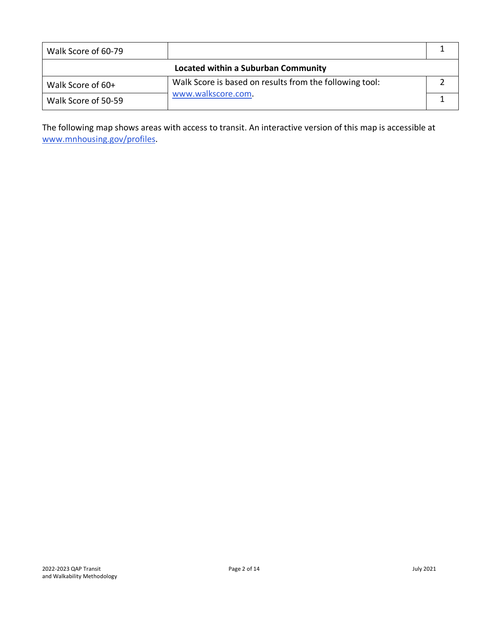| Walk Score of 60-79                 |                                                         |  |
|-------------------------------------|---------------------------------------------------------|--|
| Located within a Suburban Community |                                                         |  |
| Walk Score of 60+                   | Walk Score is based on results from the following tool: |  |
| Walk Score of 50-59                 | www.walkscore.com.                                      |  |

The following map shows areas with access to transit. An interactive version of this map is accessible at www.mnhousing.gov/profiles.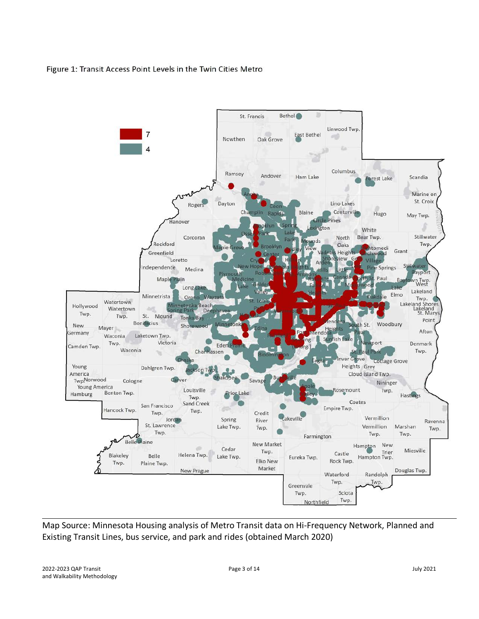#### Figure 1: Transit Access Point Levels in the Twin Cities Metro



Map Source: Minnesota Housing analysis of Metro Transit data on Hi-Frequency Network, Planned and Existing Transit Lines, bus service, and park and rides (obtained March 2020)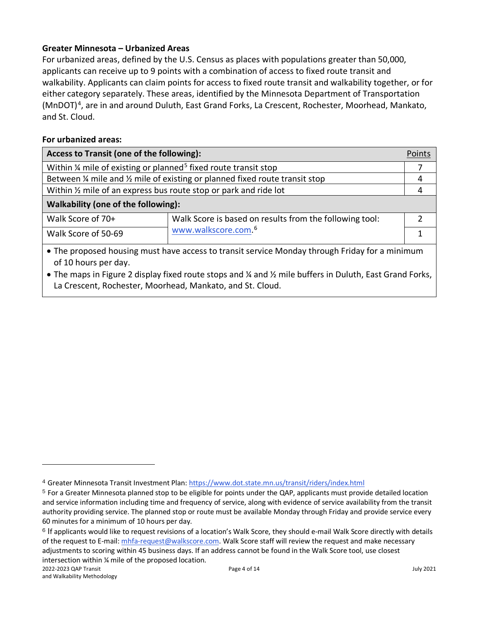# **Greater Minnesota – Urbanized Areas**

For urbanized areas, defined by the U.S. Census as places with populations greater than 50,000, applicants can receive up to 9 points with a combination of access to fixed route transit and walkability. Applicants can claim points for access to fixed route transit and walkability together, or for either category separately. These areas, identified by the Minnesota Department of Transportation (MnDOT)<sup>4</sup>, are in and around Duluth, East Grand Forks, La Crescent, Rochester, Moorhead, Mankato, and St. Cloud.

#### **For urbanized areas:**

| Access to Transit (one of the following):                                              |                                                                                                | Points |
|----------------------------------------------------------------------------------------|------------------------------------------------------------------------------------------------|--------|
| Within $\frac{1}{4}$ mile of existing or planned <sup>5</sup> fixed route transit stop |                                                                                                |        |
| Between 1/4 mile and 1/2 mile of existing or planned fixed route transit stop          |                                                                                                | 4      |
| Within 1/2 mile of an express bus route stop or park and ride lot                      |                                                                                                | 4      |
| Walkability (one of the following):                                                    |                                                                                                |        |
| Walk Score of 70+                                                                      | Walk Score is based on results from the following tool:                                        |        |
| Walk Score of 50-69                                                                    | www.walkscore.com. <sup>6</sup>                                                                |        |
| of 10 hours per day.                                                                   | • The proposed housing must have access to transit service Monday through Friday for a minimum |        |

• The maps in Figure 2 display fixed route stops and ¼ and ½ mile buffers in Duluth, East Grand Forks, La Crescent, Rochester, Moorhead, Mankato, and St. Cloud.

<span id="page-3-0"></span><sup>4</sup> Greater Minnesota Transit Investment Plan[: https://www.dot.state.mn.us/transit/riders/index.html](https://www.dot.state.mn.us/transit/riders/index.html)

<span id="page-3-1"></span><sup>5</sup> For a Greater Minnesota planned stop to be eligible for points under the QAP, applicants must provide detailed location and service information including time and frequency of service, along with evidence of service availability from the transit authority providing service. The planned stop or route must be available Monday through Friday and provide service every 60 minutes for a minimum of 10 hours per day.

<span id="page-3-2"></span><sup>6</sup> If applicants would like to request revisions of a location's Walk Score, they should e-mail Walk Score directly with details of the request to E-mail: [mhfa-request@walkscore.com.](mailto:mhfa-request@walkscore.com) Walk Score staff will review the request and make necessary adjustments to scoring within 45 business days. If an address cannot be found in the Walk Score tool, use closest intersection within ¼ mile of the proposed location.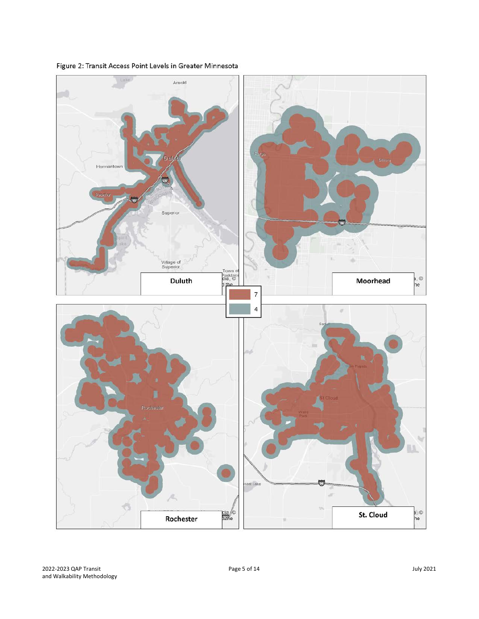

Figure 2: Transit Access Point Levels in Greater Minnesota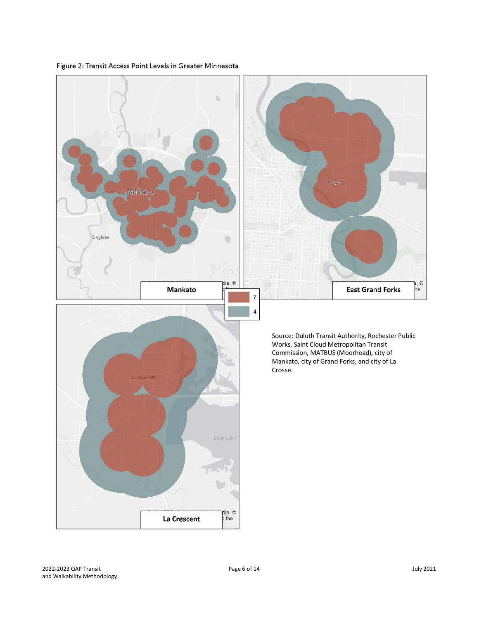

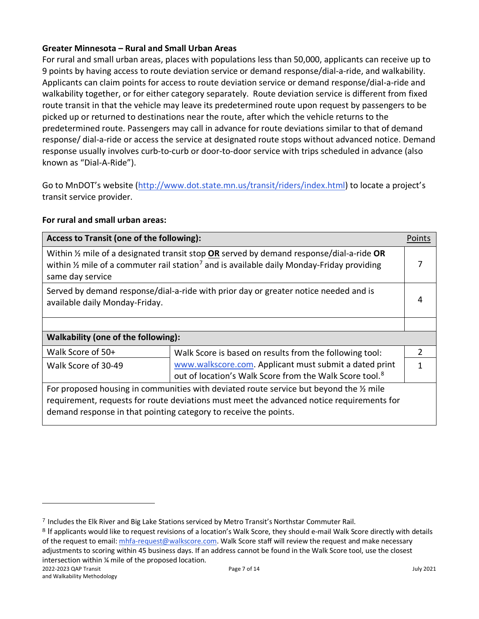# **Greater Minnesota – Rural and Small Urban Areas**

For rural and small urban areas, places with populations less than 50,000, applicants can receive up to 9 points by having access to route deviation service or demand response/dial-a-ride, and walkability. Applicants can claim points for access to route deviation service or demand response/dial-a-ride and walkability together, or for either category separately. Route deviation service is different from fixed route transit in that the vehicle may leave its predetermined route upon request by passengers to be picked up or returned to destinations near the route, after which the vehicle returns to the predetermined route. Passengers may call in advance for route deviations similar to that of demand response/ dial-a-ride or access the service at designated route stops without advanced notice. Demand response usually involves curb-to-curb or door-to-door service with trips scheduled in advance (also known as "Dial-A-Ride").

Go to MnDOT's website [\(http://www.dot.state.mn.us/transit/riders/index.html\)](http://www.dot.state.mn.us/transit/riders/index.html) to locate a project's transit service provider.

## **For rural and small urban areas:**

| Access to Transit (one of the following):                                                                                                                                                                                                              |                                                                                                                               | Points        |
|--------------------------------------------------------------------------------------------------------------------------------------------------------------------------------------------------------------------------------------------------------|-------------------------------------------------------------------------------------------------------------------------------|---------------|
| Within $\frac{1}{2}$ mile of a designated transit stop OR served by demand response/dial-a-ride OR<br>within $\frac{1}{2}$ mile of a commuter rail station <sup>7</sup> and is available daily Monday-Friday providing<br>same day service             |                                                                                                                               | 7             |
| Served by demand response/dial-a-ride with prior day or greater notice needed and is<br>available daily Monday-Friday.                                                                                                                                 |                                                                                                                               | 4             |
|                                                                                                                                                                                                                                                        |                                                                                                                               |               |
| Walkability (one of the following):                                                                                                                                                                                                                    |                                                                                                                               |               |
| Walk Score of 50+                                                                                                                                                                                                                                      | Walk Score is based on results from the following tool:                                                                       | $\mathcal{P}$ |
| Walk Score of 30-49                                                                                                                                                                                                                                    | www.walkscore.com. Applicant must submit a dated print<br>out of location's Walk Score from the Walk Score tool. <sup>8</sup> | 1             |
| For proposed housing in communities with deviated route service but beyond the % mile<br>requirement, requests for route deviations must meet the advanced notice requirements for<br>demand response in that pointing category to receive the points. |                                                                                                                               |               |

<span id="page-6-0"></span><sup>7</sup> Includes the Elk River and Big Lake Stations serviced by Metro Transit's Northstar Commuter Rail.

<span id="page-6-1"></span><sup>8</sup> If applicants would like to request revisions of a location's Walk Score, they should e-mail Walk Score directly with details of the request to email[: mhfa-request@walkscore.com.](mailto:mhfa-request@walkscore.com) Walk Score staff will review the request and make necessary adjustments to scoring within 45 business days. If an address cannot be found in the Walk Score tool, use the closest intersection within ¼ mile of the proposed location.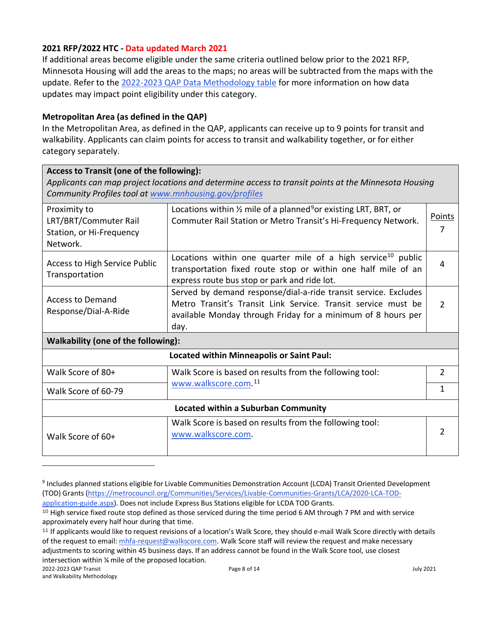# <span id="page-7-0"></span>**2021 RFP/2022 HTC - Data updated March 2021**

If additional areas become eligible under the same criteria outlined below prior to the 2021 RFP, Minnesota Housing will add the areas to the maps; no areas will be subtracted from the maps with the update. Refer to the [2022-2023 QAP Data Methodology table](https://www.mnhousing.gov/get/MHFA_238743) for more information on how data updates may impact point eligibility under this category.

## **Metropolitan Area (as defined in the QAP)**

In the Metropolitan Area, as defined in the QAP, applicants can receive up to 9 points for transit and walkability. Applicants can claim points for access to transit and walkability together, or for either category separately.

| Access to Transit (one of the following):<br>Applicants can map project locations and determine access to transit points at the Minnesota Housing<br>Community Profiles tool at www.mnhousing.gov/profiles |                                                                                                                                                                                                          |                |  |
|------------------------------------------------------------------------------------------------------------------------------------------------------------------------------------------------------------|----------------------------------------------------------------------------------------------------------------------------------------------------------------------------------------------------------|----------------|--|
| Proximity to<br>LRT/BRT/Commuter Rail<br>Station, or Hi-Frequency<br>Network.                                                                                                                              | Locations within $\frac{1}{2}$ mile of a planned <sup>9</sup> or existing LRT, BRT, or<br>Commuter Rail Station or Metro Transit's Hi-Frequency Network.                                                 | Points<br>7    |  |
| Access to High Service Public<br>Transportation                                                                                                                                                            | Locations within one quarter mile of a high service <sup>10</sup> public<br>transportation fixed route stop or within one half mile of an<br>express route bus stop or park and ride lot.                | 4              |  |
| <b>Access to Demand</b><br>Response/Dial-A-Ride                                                                                                                                                            | Served by demand response/dial-a-ride transit service. Excludes<br>Metro Transit's Transit Link Service. Transit service must be<br>available Monday through Friday for a minimum of 8 hours per<br>day. | $\mathcal{P}$  |  |
| Walkability (one of the following):                                                                                                                                                                        |                                                                                                                                                                                                          |                |  |
|                                                                                                                                                                                                            | <b>Located within Minneapolis or Saint Paul:</b>                                                                                                                                                         |                |  |
| Walk Score of 80+                                                                                                                                                                                          | Walk Score is based on results from the following tool:                                                                                                                                                  | $\overline{2}$ |  |
| Walk Score of 60-79                                                                                                                                                                                        | www.walkscore.com. <sup>11</sup>                                                                                                                                                                         | 1              |  |
| Located within a Suburban Community                                                                                                                                                                        |                                                                                                                                                                                                          |                |  |
| Walk Score of 60+                                                                                                                                                                                          | Walk Score is based on results from the following tool:<br>www.walkscore.com.                                                                                                                            | 2              |  |

<span id="page-7-1"></span><sup>9</sup> Includes planned stations eligible for Livable Communities Demonstration Account (LCDA) Transit Oriented Development (TOD) Grants [\(https://metrocouncil.org/Communities/Services/Livable-Communities-Grants/LCA/2020-LCA-TOD-](https://metrocouncil.org/Communities/Services/Livable-Communities-Grants/LCA/2020-LCA-TOD-application-guide.aspx)

[application-guide.aspx\)](https://metrocouncil.org/Communities/Services/Livable-Communities-Grants/LCA/2020-LCA-TOD-application-guide.aspx). Does not include Express Bus Stations eligible for LCDA TOD Grants.

<span id="page-7-2"></span><sup>&</sup>lt;sup>10</sup> High service fixed route stop defined as those serviced during the time period 6 AM through 7 PM and with service approximately every half hour during that time.

<span id="page-7-3"></span><sup>11</sup> If applicants would like to request revisions of a location's Walk Score, they should e-mail Walk Score directly with details of the request to email[: mhfa-request@walkscore.com.](mailto:mhfa-request@walkscore.com) Walk Score staff will review the request and make necessary adjustments to scoring within 45 business days. If an address cannot be found in the Walk Score tool, use closest intersection within ¼ mile of the proposed location.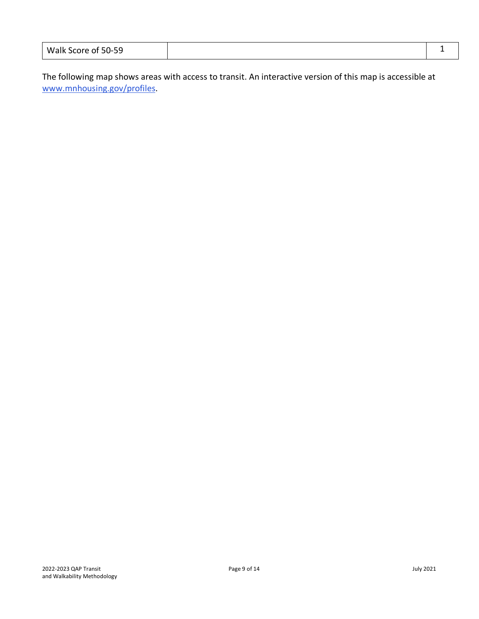| Walk Score of 50-59 |  |  |
|---------------------|--|--|
|---------------------|--|--|

The following map shows areas with access to transit. An interactive version of this map is accessible at [www.mnhousing.gov/profiles.](https://www.mnhousing.gov/profiles)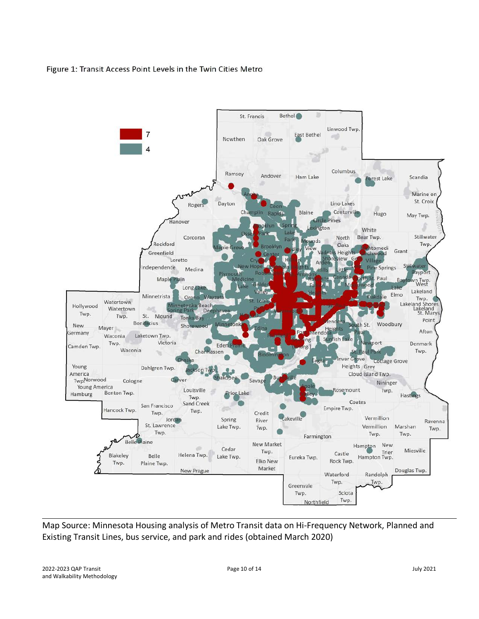#### Figure 1: Transit Access Point Levels in the Twin Cities Metro



Map Source: Minnesota Housing analysis of Metro Transit data on Hi-Frequency Network, Planned and Existing Transit Lines, bus service, and park and rides (obtained March 2020)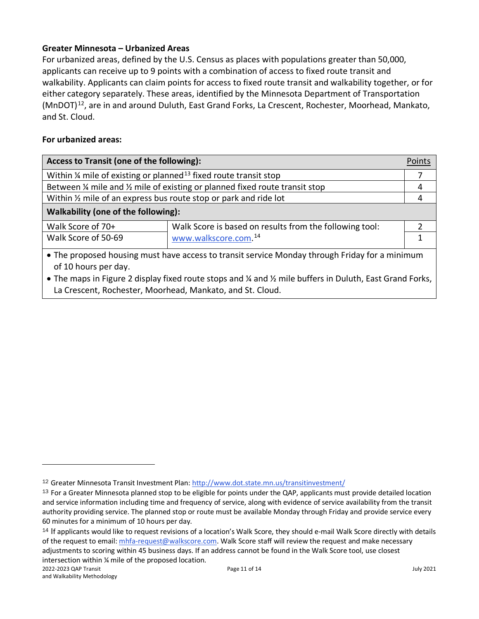# **Greater Minnesota – Urbanized Areas**

For urbanized areas, defined by the U.S. Census as places with populations greater than 50,000, applicants can receive up to 9 points with a combination of access to fixed route transit and walkability. Applicants can claim points for access to fixed route transit and walkability together, or for either category separately. These areas, identified by the Minnesota Department of Transportation (MnDOT)<sup>12</sup>, are in and around Duluth, East Grand Forks, La Crescent, Rochester, Moorhead, Mankato, and St. Cloud.

# **For urbanized areas:**

| <b>Access to Transit (one of the following):</b>                                        |                                                                                                | Points |
|-----------------------------------------------------------------------------------------|------------------------------------------------------------------------------------------------|--------|
| Within $\frac{1}{4}$ mile of existing or planned <sup>13</sup> fixed route transit stop |                                                                                                |        |
| Between 1/4 mile and 1/2 mile of existing or planned fixed route transit stop           |                                                                                                |        |
| Within 1/2 mile of an express bus route stop or park and ride lot                       |                                                                                                |        |
| Walkability (one of the following):                                                     |                                                                                                |        |
| Walk Score of 70+                                                                       | Walk Score is based on results from the following tool:                                        |        |
| Walk Score of 50-69                                                                     | www.walkscore.com. <sup>14</sup>                                                               |        |
| of 10 hours per day.                                                                    | • The proposed housing must have access to transit service Monday through Friday for a minimum |        |

• The maps in Figure 2 display fixed route stops and ¼ and ½ mile buffers in Duluth, East Grand Forks, La Crescent, Rochester, Moorhead, Mankato, and St. Cloud.

<span id="page-10-0"></span><sup>12</sup> Greater Minnesota Transit Investment Plan[: http://www.dot.state.mn.us/transitinvestment/](http://www.dot.state.mn.us/transitinvestment/)

<span id="page-10-1"></span><sup>&</sup>lt;sup>13</sup> For a Greater Minnesota planned stop to be eligible for points under the QAP, applicants must provide detailed location and service information including time and frequency of service, along with evidence of service availability from the transit authority providing service. The planned stop or route must be available Monday through Friday and provide service every 60 minutes for a minimum of 10 hours per day.

<span id="page-10-2"></span><sup>14</sup> If applicants would like to request revisions of a location's Walk Score, they should e-mail Walk Score directly with details of the request to email[: mhfa-request@walkscore.com.](mailto:mhfa-request@walkscore.com) Walk Score staff will review the request and make necessary adjustments to scoring within 45 business days. If an address cannot be found in the Walk Score tool, use closest intersection within ¼ mile of the proposed location.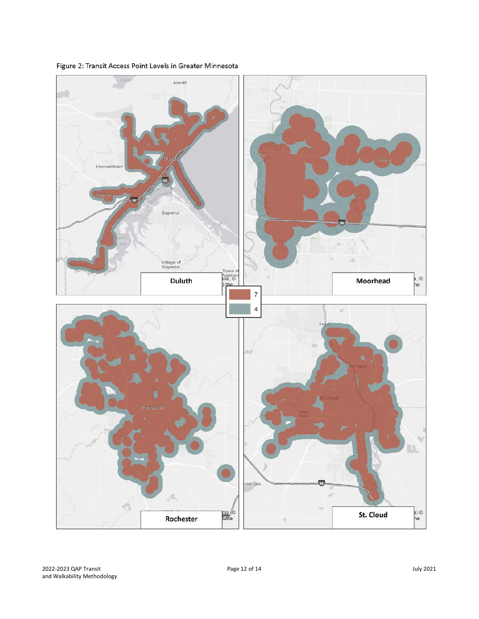

Figure 2: Transit Access Point Levels in Greater Minnesota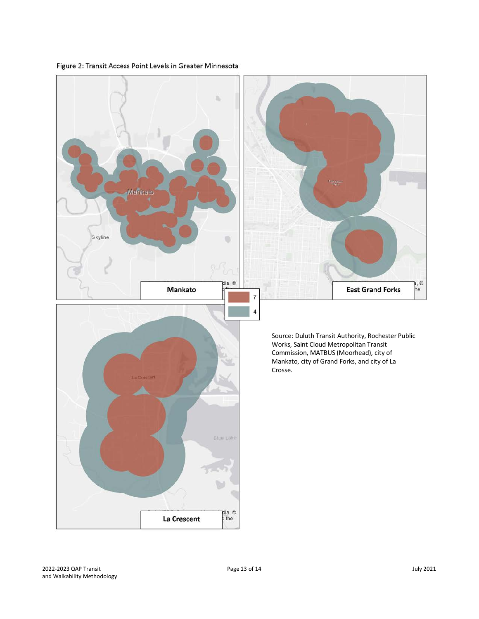